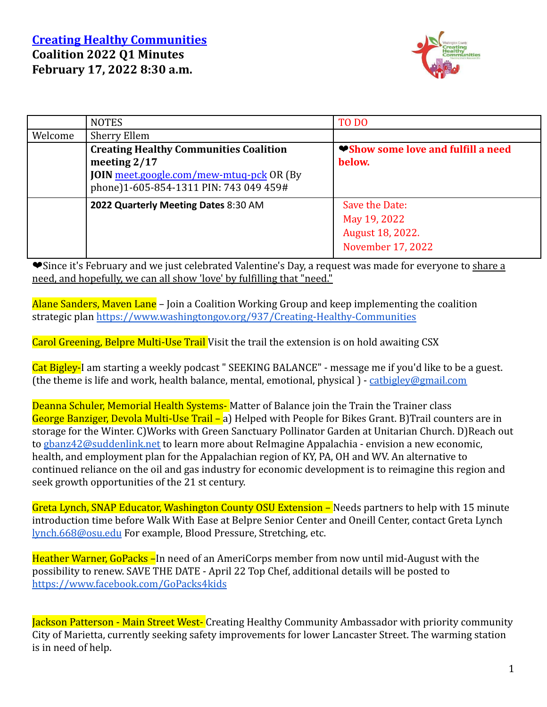#### **Creating Healthy [Communities](http://www.washingtongov.org/index.aspx?NID=937) Coalition 2022 Q1 Minutes February 17, 2022 8:30 a.m.**



|         | <b>NOTES</b>                                                                                                                                                 | TO DO                                                                   |
|---------|--------------------------------------------------------------------------------------------------------------------------------------------------------------|-------------------------------------------------------------------------|
| Welcome | Sherry Ellem                                                                                                                                                 |                                                                         |
|         | <b>Creating Healthy Communities Coalition</b><br>meeting $2/17$<br><b>JOIN</b> meet.google.com/mew-mtuq-pck OR (By<br>phone)1-605-854-1311 PIN: 743 049 459# | <b>♥Show some love and fulfill a need</b><br>below.                     |
|         | 2022 Quarterly Meeting Dates 8:30 AM                                                                                                                         | Save the Date:<br>May 19, 2022<br>August 18, 2022.<br>November 17, 2022 |

❤Since it's February and we just celebrated Valentine's Day, a request was made for everyone to share a need, and hopefully, we can all show 'love' by fulfilling that "need."

Alane Sanders, Mayen Lane – Join a Coalition Working Group and keep implementing the coalition strategic plan <https://www.washingtongov.org/937/Creating-Healthy-Communities>

Carol Greening, Belpre Multi-Use Trail Visit the trail the extension is on hold awaiting CSX

Cat Bigley-I am starting a weekly podcast " SEEKING BALANCE" - message me if you'd like to be a guest. (the theme is life and work, health balance, mental, emotional, physical ) - [catbigley@gmail.com](mailto:catbigley@gmail.com)

Deanna Schuler, Memorial Health Systems-Matter of Balance join the Train the Trainer class George Banziger, Devola Multi-Use Trail – a) Helped with People for Bikes Grant. B)Trail counters are in storage for the Winter. C)Works with Green Sanctuary Pollinator Garden at Unitarian Church. D)Reach out to [gbanz42@suddenlink.net](mailto:gbanz42@suddenlink.net) to learn more about ReImagine Appalachia - envision a new economic, health, and employment plan for the Appalachian region of KY, PA, OH and WV. An alternative to continued reliance on the oil and gas industry for economic development is to reimagine this region and seek growth opportunities of the 21 st century.

Greta Lynch, SNAP Educator, Washington County OSU Extension – Needs partners to help with 15 minute introduction time before Walk With Ease at Belpre Senior Center and Oneill Center, contact Greta Lynch [lynch.668@osu.edu](mailto:lynch.668@osu.edu) For example, Blood Pressure, Stretching, etc.

Heather Warner, GoPacks –In need of an AmeriCorps member from now until mid-August with the possibility to renew. SAVE THE DATE - April 22 Top Chef, additional details will be posted to <https://www.facebook.com/GoPacks4kids>

Jackson Patterson - Main Street West- Creating Healthy Community Ambassador with priority community City of Marietta, currently seeking safety improvements for lower Lancaster Street. The warming station is in need of help.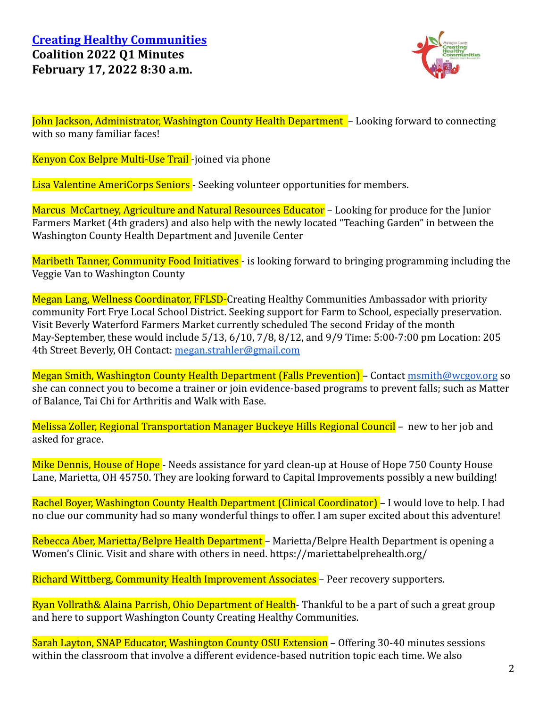

John Jackson, Administrator, Washington County Health Department – Looking forward to connecting with so many familiar faces!

Kenyon Cox Belpre Multi-Use Trail -joined via phone

Lisa Valentine AmeriCorps Seniors - Seeking volunteer opportunities for members.

Marcus McCartney, Agriculture and Natural Resources Educator – Looking for produce for the Junior Farmers Market (4th graders) and also help with the newly located "Teaching Garden" in between the Washington County Health Department and Juvenile Center

Maribeth Tanner, Community Food Initiatives - is looking forward to bringing programming including the Veggie Van to Washington County

Megan Lang, Wellness Coordinator, FFLSD-Creating Healthy Communities Ambassador with priority community Fort Frye Local School District. Seeking support for Farm to School, especially preservation. Visit Beverly Waterford Farmers Market currently scheduled The second Friday of the month May-September, these would include 5/13, 6/10, 7/8, 8/12, and 9/9 Time: 5:00-7:00 pm Location: 205 4th Street Beverly, OH Contact: [megan.strahler@gmail.com](mailto:megan.strahler@gmail.com)

Megan Smith, Washington County Health Department (Falls Prevention) – Contact [msmith@wcgov.org](mailto:msmith@wcgov.org) so she can connect you to become a trainer or join evidence-based programs to prevent falls; such as Matter of Balance, Tai Chi for Arthritis and Walk with Ease.

Melissa Zoller, Regional Transportation Manager Buckeye Hills Regional Council – new to her job and asked for grace.

Mike Dennis, House of Hope - Needs assistance for vard clean-up at House of Hope 750 County House Lane, Marietta, OH 45750. They are looking forward to Capital Improvements possibly a new building!

Rachel Boyer, Washington County Health Department (Clinical Coordinator) – I would love to help. I had no clue our community had so many wonderful things to offer. I am super excited about this adventure!

Rebecca Aber, Marietta/Belpre Health Department – Marietta/Belpre Health Department is opening a Women's Clinic. Visit and share with others in need. https://mariettabelprehealth.org/

Richard Wittberg, Community Health Improvement Associates – Peer recovery supporters.

Ryan Vollrath& Alaina Parrish, Ohio Department of Health- Thankful to be a part of such a great group and here to support Washington County Creating Healthy Communities.

Sarah Layton, SNAP Educator, Washington County OSU Extension – Offering 30-40 minutes sessions within the classroom that involve a different evidence-based nutrition topic each time. We also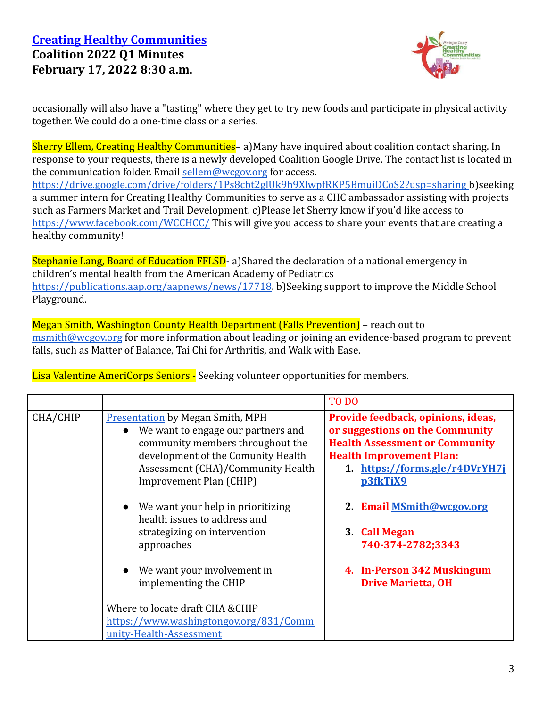#### **Creating Healthy [Communities](http://www.washingtongov.org/index.aspx?NID=937) Coalition 2022 Q1 Minutes February 17, 2022 8:30 a.m.**



occasionally will also have a "tasting" where they get to try new foods and participate in physical activity together. We could do a one-time class or a series.

Sherry Ellem, Creating Healthy Communities-a)Many have inquired about coalition contact sharing. In response to your requests, there is a newly developed Coalition Google Drive. The contact list is located in the communication folder. Email [sellem@wcgov.org](mailto:sellem@wcgov.org) for access. <https://drive.google.com/drive/folders/1Ps8cbt2glUk9h9XlwpfRKP5BmuiDCoS2?usp=sharing> b)seeking a summer intern for Creating Healthy Communities to serve as a CHC ambassador assisting with projects such as Farmers Market and Trail Development. c)Please let Sherry know if you'd like access to <https://www.facebook.com/WCCHCC/> This will give you access to share your events that are creating a healthy community!

Stephanie Lang, Board of Education FFLSD- a)Shared the declaration of a national emergency in children's mental health from the American Academy of Pediatrics <https://publications.aap.org/aapnews/news/17718>. b)Seeking support to improve the Middle School Playground.

Megan Smith, Washington County Health Department (Falls Prevention) – reach out to [msmith@wcgov.org](mailto:msmith@wcgov.org) for more information about leading or joining an evidence-based program to prevent falls, such as Matter of Balance, Tai Chi for Arthritis, and Walk with Ease.

Lisa Valentine AmeriCorps Seniors - Seeking volunteer opportunities for members.

|          |                                                                                                                                                                                                                         | TO DO                                                                                                                                                                                           |
|----------|-------------------------------------------------------------------------------------------------------------------------------------------------------------------------------------------------------------------------|-------------------------------------------------------------------------------------------------------------------------------------------------------------------------------------------------|
| CHA/CHIP | <b>Presentation by Megan Smith, MPH</b><br>We want to engage our partners and<br>community members throughout the<br>development of the Comunity Health<br>Assessment (CHA)/Community Health<br>Improvement Plan (CHIP) | Provide feedback, opinions, ideas,<br>or suggestions on the Community<br><b>Health Assessment or Community</b><br><b>Health Improvement Plan:</b><br>1. https://forms.gle/r4DVrYH7j<br>p3fkTiX9 |
|          | We want your help in prioritizing<br>health issues to address and<br>strategizing on intervention<br>approaches                                                                                                         | 2. Email MSmith@wcgov.org<br>3. Call Megan<br>740-374-2782;3343                                                                                                                                 |
|          | We want your involvement in<br>implementing the CHIP                                                                                                                                                                    | 4. In-Person 342 Muskingum<br><b>Drive Marietta, OH</b>                                                                                                                                         |
|          | Where to locate draft CHA & CHIP<br>https://www.washingtongov.org/831/Comm<br>unity-Health-Assessment                                                                                                                   |                                                                                                                                                                                                 |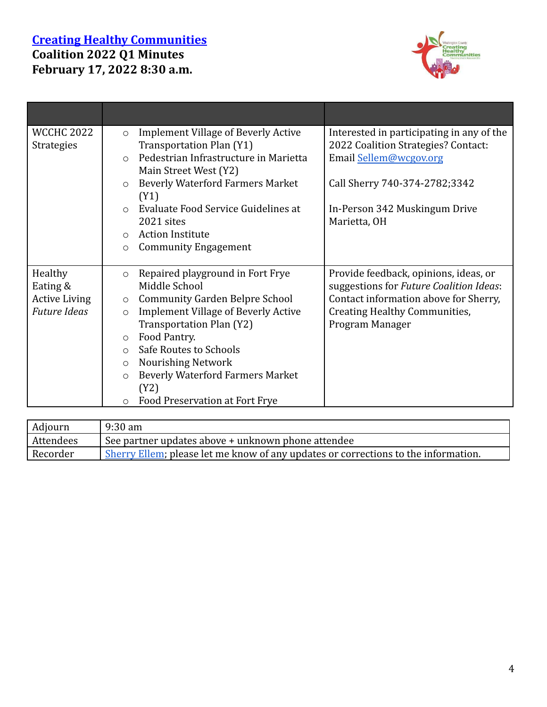#### **Creating Healthy [Communities](http://www.washingtongov.org/index.aspx?NID=937) Coalition 2022 Q1 Minutes February 17, 2022 8:30 a.m.**



| <b>WCCHC 2022</b>    | <b>Implement Village of Beverly Active</b><br>$\circ$ | Interested in participating in any of the |
|----------------------|-------------------------------------------------------|-------------------------------------------|
| <b>Strategies</b>    | Transportation Plan (Y1)                              | 2022 Coalition Strategies? Contact:       |
|                      | Pedestrian Infrastructure in Marietta<br>$\bigcap$    | Email Sellem@wcgov.org                    |
|                      | Main Street West (Y2)                                 |                                           |
|                      | <b>Beverly Waterford Farmers Market</b><br>$\circ$    | Call Sherry 740-374-2782;3342             |
|                      | (Y1)                                                  |                                           |
|                      | Evaluate Food Service Guidelines at<br>$\bigcap$      | In-Person 342 Muskingum Drive             |
|                      | 2021 sites                                            | Marietta, OH                              |
|                      | <b>Action Institute</b><br>$\circ$                    |                                           |
|                      | <b>Community Engagement</b><br>O                      |                                           |
|                      |                                                       |                                           |
| Healthy              | Repaired playground in Fort Frye<br>$\circ$           | Provide feedback, opinions, ideas, or     |
| Eating &             | Middle School                                         | suggestions for Future Coalition Ideas:   |
| <b>Active Living</b> | <b>Community Garden Belpre School</b><br>$\circ$      | Contact information above for Sherry,     |
| <b>Future Ideas</b>  | <b>Implement Village of Beverly Active</b><br>$\circ$ | <b>Creating Healthy Communities,</b>      |
|                      | Transportation Plan (Y2)                              | Program Manager                           |
|                      | Food Pantry.<br>$\circ$                               |                                           |
|                      | Safe Routes to Schools<br>$\circ$                     |                                           |
|                      | <b>Nourishing Network</b><br>$\circ$                  |                                           |
|                      | <b>Beverly Waterford Farmers Market</b><br>$\circ$    |                                           |
|                      | (Y2)                                                  |                                           |
|                      | Food Preservation at Fort Frye<br>$\circ$             |                                           |

| Adjourn          | $9:30 \text{ am}$                                                                          |  |
|------------------|--------------------------------------------------------------------------------------------|--|
| <b>Attendees</b> | See partner updates above + unknown phone attendee                                         |  |
| Recorder         | <b>Sherry Ellem</b> ; please let me know of any updates or corrections to the information. |  |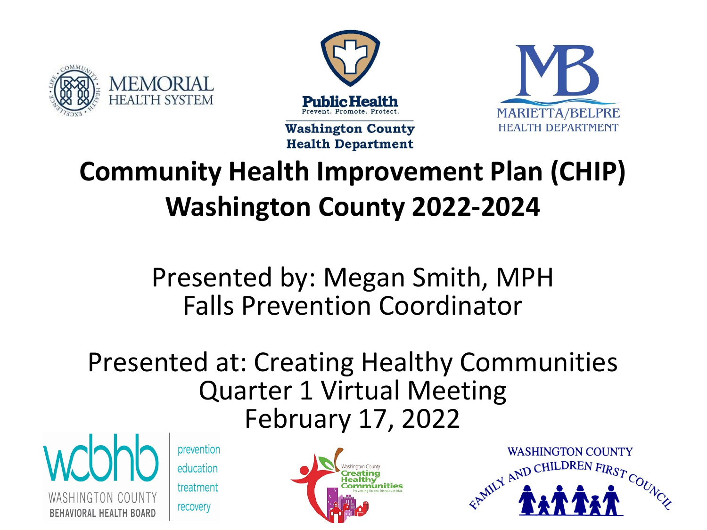





#### **Community Health Improvement Plan (CHIP) Washington County 2022-2024**

Presented by: Megan Smith, MPH Falls Prevention Coordinator

#### Presented at: Creating Healthy Communities Quarter 1 Virtual Meeting February 17, 2022



prevention education

treatment recovery



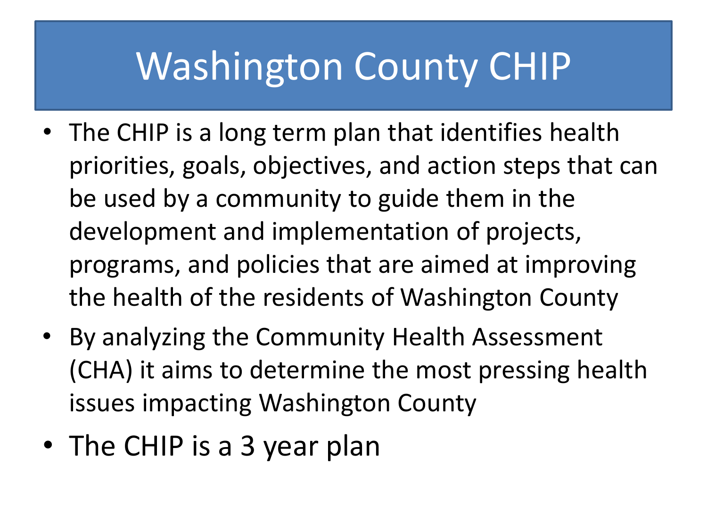### Washington County CHIP

- The CHIP is a long term plan that identifies health priorities, goals, objectives, and action steps that can be used by a community to guide them in the development and implementation of projects, programs, and policies that are aimed at improving the health of the residents of Washington County
- By analyzing the Community Health Assessment (CHA) it aims to determine the most pressing health issues impacting Washington County
- The CHIP is a 3 year plan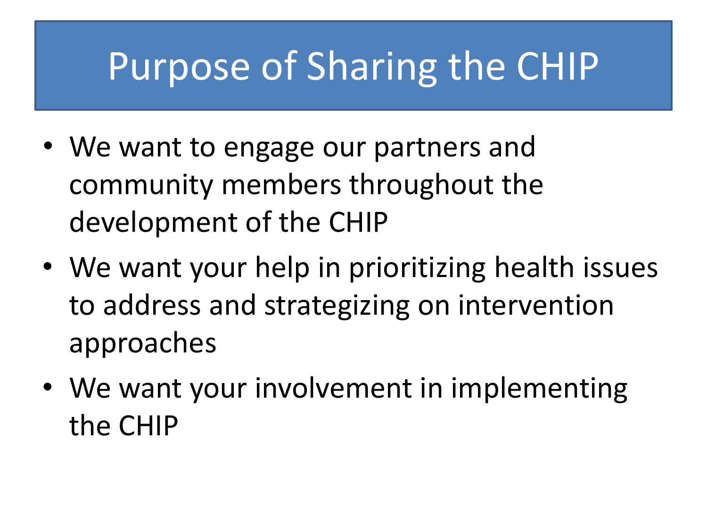### Purpose of Sharing the CHIP

- We want to engage our partners and community members throughout the development of the CHIP
- We want your help in prioritizing health issues to address and strategizing on intervention approaches
- We want your involvement in implementing the CHIP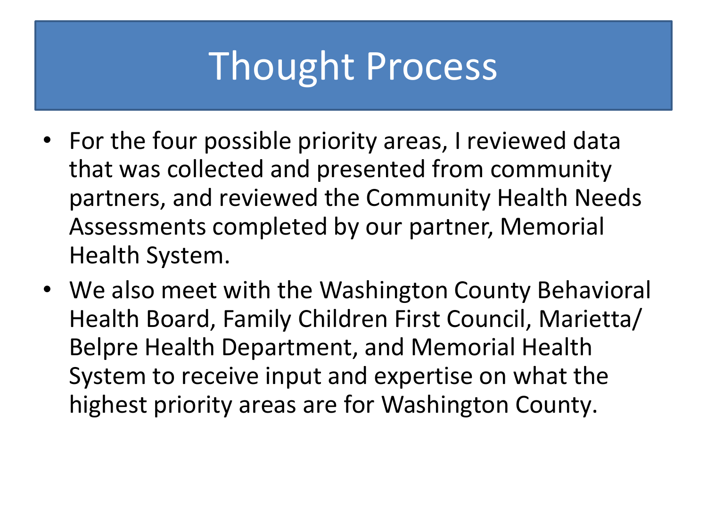# Thought Process

- For the four possible priority areas, I reviewed data that was collected and presented from community partners, and reviewed the Community Health Needs Assessments completed by our partner, Memorial Health System.
- We also meet with the Washington County Behavioral Health Board, Family Children First Council, Marietta/ Belpre Health Department, and Memorial Health System to receive input and expertise on what the highest priority areas are for Washington County.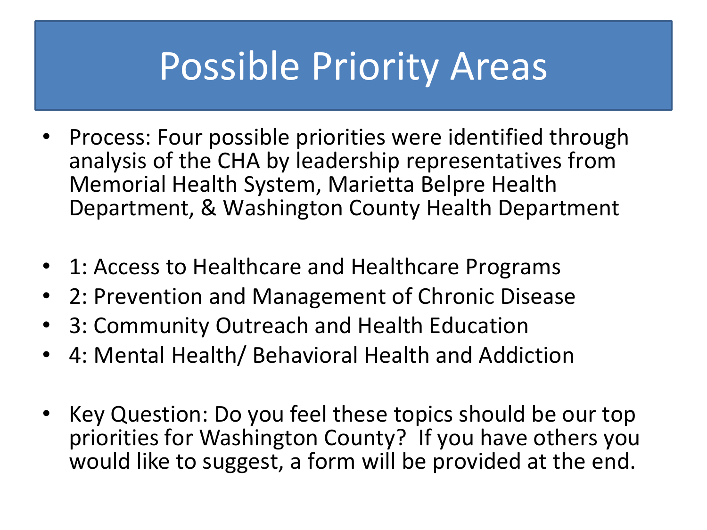#### Possible Priority Areas

- Process: Four possible priorities were identified through analysis of the CHA by leadership representatives from Memorial Health System, Marietta Belpre Health Department, & Washington County Health Department
- 1: Access to Healthcare and Healthcare Programs
- 2: Prevention and Management of Chronic Disease
- 3: Community Outreach and Health Education
- 4: Mental Health/ Behavioral Health and Addiction
- Key Question: Do you feel these topics should be our top priorities for Washington County? If you have others you would like to suggest, a form will be provided at the end.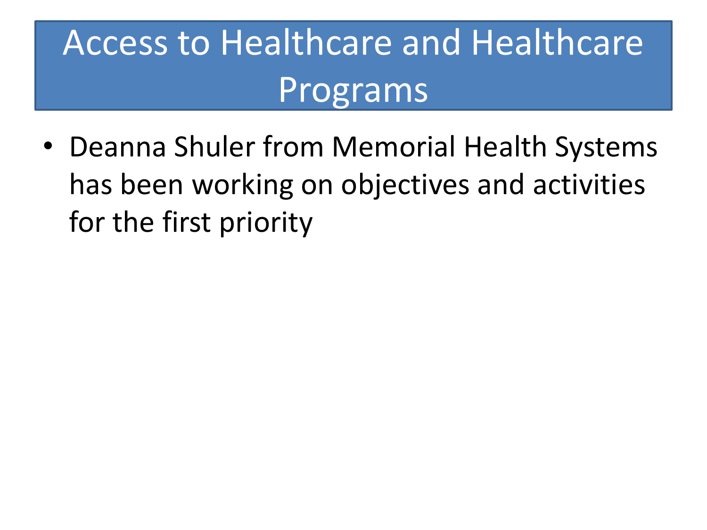### Access to Healthcare and Healthcare Programs

• Deanna Shuler from Memorial Health Systems has been working on objectives and activities for the first priority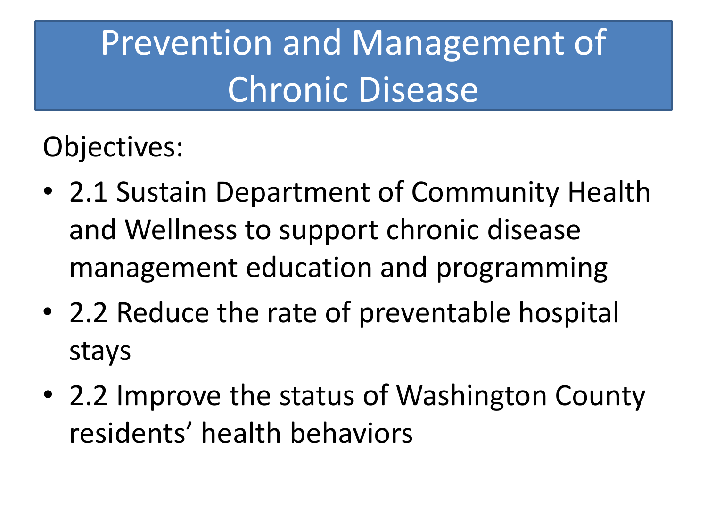# Prevention and Management of Chronic Disease

Objectives:

- 2.1 Sustain Department of Community Health and Wellness to support chronic disease management education and programming
- 2.2 Reduce the rate of preventable hospital stays
- 2.2 Improve the status of Washington County residents' health behaviors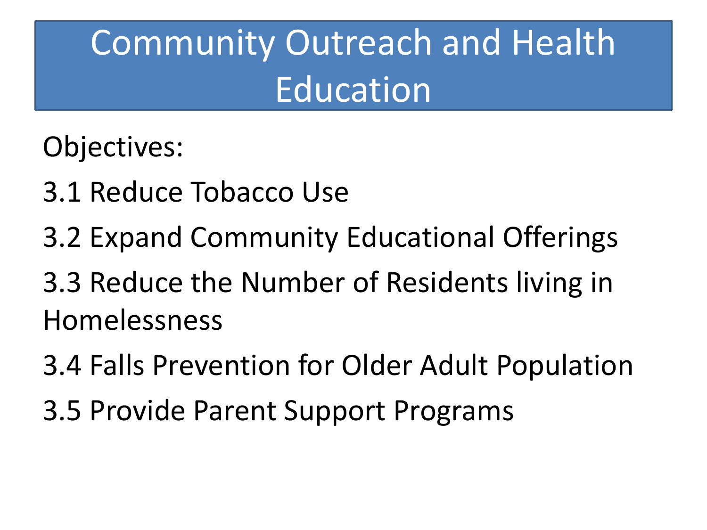# Community Outreach and Health Education

Objectives:

- 3.1 Reduce Tobacco Use
- 3.2 Expand Community Educational Offerings
- 3.3 Reduce the Number of Residents living in Homelessness
- 3.4 Falls Prevention for Older Adult Population
- 3.5 Provide Parent Support Programs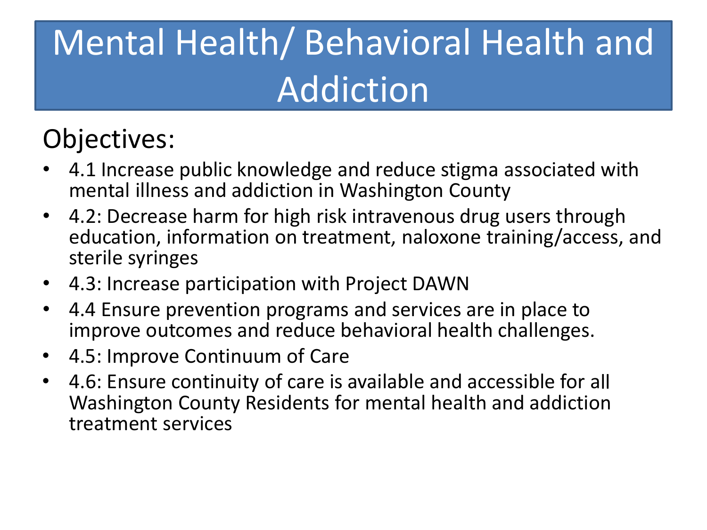# Mental Health/ Behavioral Health and Addiction

#### Objectives:

- 4.1 Increase public knowledge and reduce stigma associated with mental illness and addiction in Washington County
- 4.2: Decrease harm for high risk intravenous drug users through education, information on treatment, naloxone training/access, and sterile syringes
- 4.3: Increase participation with Project DAWN
- 4.4 Ensure prevention programs and services are in place to improve outcomes and reduce behavioral health challenges.
- 4.5: Improve Continuum of Care
- 4.6: Ensure continuity of care is available and accessible for all Washington County Residents for mental health and addiction treatment services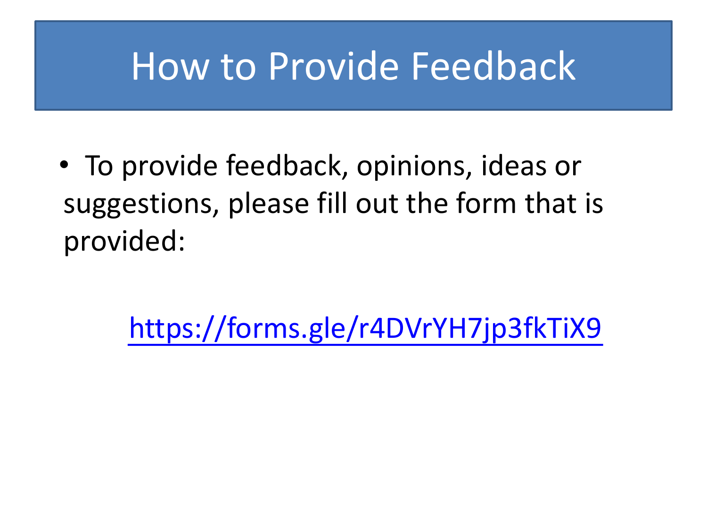#### How to Provide Feedback

• To provide feedback, opinions, ideas or suggestions, please fill out the form that is provided:

<https://forms.gle/r4DVrYH7jp3fkTiX9>